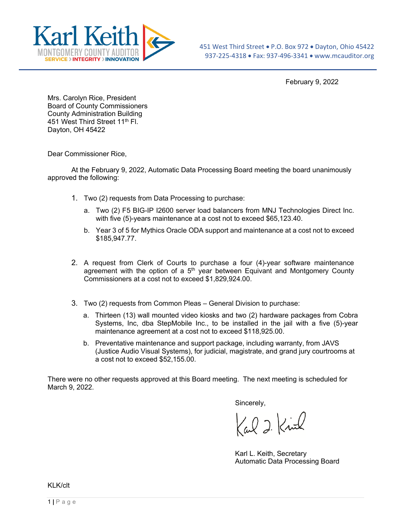

February 9, 2022

Mrs. Carolyn Rice, President Board of County Commissioners County Administration Building 451 West Third Street 11<sup>th</sup> Fl. Dayton, OH 45422

Dear Commissioner Rice,

At the February 9, 2022, Automatic Data Processing Board meeting the board unanimously approved the following:

- 1. Two (2) requests from Data Processing to purchase:
	- a. Two (2) F5 BIG-IP I2600 server load balancers from MNJ Technologies Direct Inc. with five (5)-years maintenance at a cost not to exceed \$65,123.40.
	- b. Year 3 of 5 for Mythics Oracle ODA support and maintenance at a cost not to exceed \$185,947.77.
- 2. A request from Clerk of Courts to purchase a four (4)-year software maintenance agreement with the option of a  $5<sup>th</sup>$  year between Equivant and Montgomery County Commissioners at a cost not to exceed \$1,829,924.00.
- 3. Two (2) requests from Common Pleas General Division to purchase:
	- a. Thirteen (13) wall mounted video kiosks and two (2) hardware packages from Cobra Systems, Inc, dba StepMobile Inc., to be installed in the jail with a five (5)-year maintenance agreement at a cost not to exceed \$118,925.00.
	- b. Preventative maintenance and support package, including warranty, from JAVS (Justice Audio Visual Systems), for judicial, magistrate, and grand jury courtrooms at a cost not to exceed \$52,155.00.

There were no other requests approved at this Board meeting. The next meeting is scheduled for March 9, 2022.

Sincerely,

Cal 2 Kind

Karl L. Keith, Secretary Automatic Data Processing Board

KLK/clt